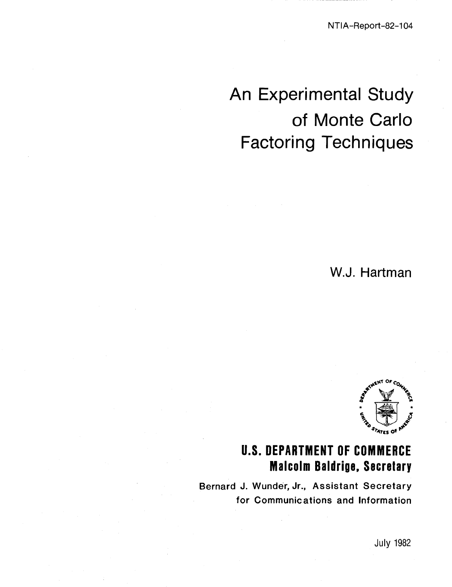# An Experimental Study of Monte Carlo Factoring Techniques

# W.J. Hartman



# u.s. DEPARTMENT OF COMMERCE Malcolm Baldrige, Secretary

Bernard J. Wunder, Jr., Assistant Secretary for Communications and Information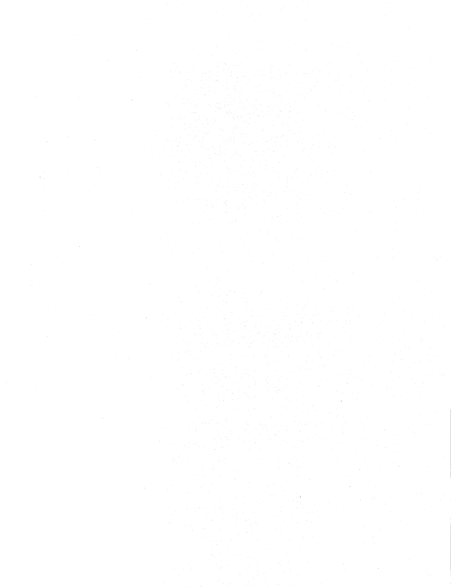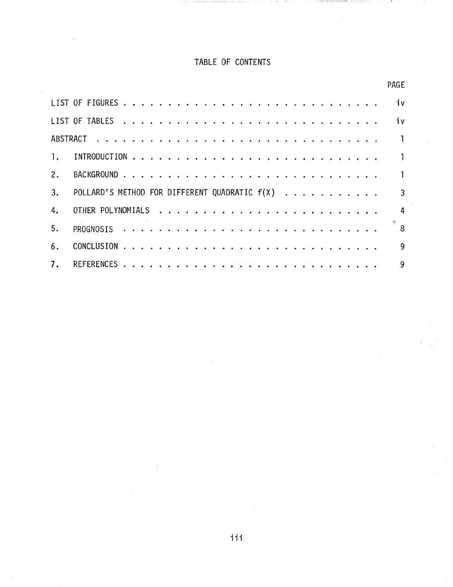## TABLE OF CONTENTS

|    |                                                 | PAGE           |
|----|-------------------------------------------------|----------------|
|    |                                                 | iv             |
|    |                                                 |                |
|    |                                                 |                |
|    |                                                 |                |
| 2. |                                                 |                |
| 3. | POLLARD'S METHOD FOR DIFFERENT QUADRATIC $f(X)$ | $\overline{3}$ |
| 4. |                                                 | $\overline{4}$ |
| 5. |                                                 | $\mathbf{8}$   |
| 6. |                                                 | 9              |
|    |                                                 |                |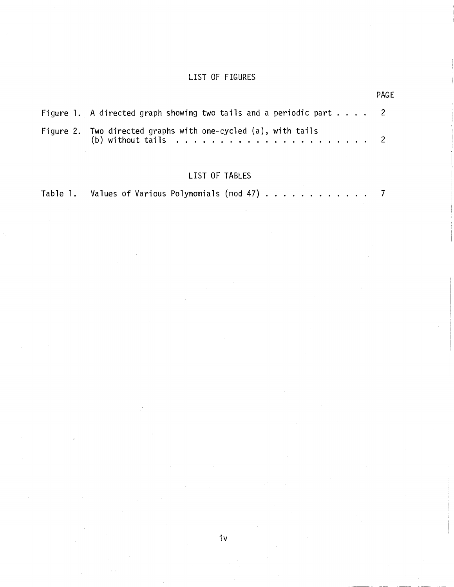### LIST OF FIGURES

PAGE

| Figure 1. A directed graph showing two tails and a periodic part $\dots$ . 2 |  |
|------------------------------------------------------------------------------|--|
| Figure 2. Two directed graphs with one-cycled (a), with tails                |  |

### LIST OF TABLES

|  | Table 1. Values of Various Polynomials (mod 47) 7 |  |  |  |  |  |  |
|--|---------------------------------------------------|--|--|--|--|--|--|
|--|---------------------------------------------------|--|--|--|--|--|--|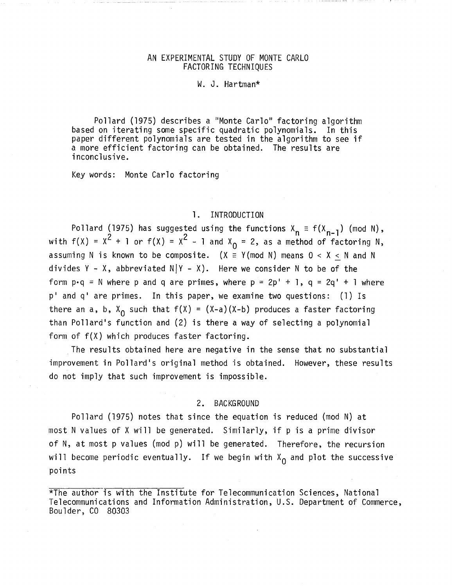#### AN EXPERIMENTAL STUDY OF MONTE CARLO FACTORING TECHNIQUES

W. J. Hartman\*

Pollard (1975) describes a "Monte Carlo" factoring algorithm based on iterating some specific quadratic polynomials. In this paper different polynomials are tested in the algorithm to see if a more efficient factoring can be obtained. The results are inconclusive.

Key words: Monte Carlo factoring

#### 1. INTRODUCTION

Pollard (1975) has suggested using the functions  $X_n \equiv f(X_{n-1}) \pmod{N}$ ,  $Z^2 = 2 \pmod{2}$ with f(X) =  $X^2$  + 1 or f(X) =  $X^2$  - 1 and  $X_0$  = 2, as a method of factoring N, assuming N is known to be composite.  $(X = Y (mod N)$  means  $0 < X < N$  and N divides  $Y - X$ , abbreviated  $N/Y - X$ ). Here we consider N to be of the form  $p \cdot q = N$  where p and q are primes, where  $p = 2p' + 1$ ,  $q = 2q' + 1$  where pi and q' are primes. In this paper, we examine two questions: (1) Is there an a, b,  $X_0$  such that  $f(X) = (X-a)(X-b)$  produces a faster factoring than Pollard's function and (2) is there a way of selecting a polynomial form of f(X) which produces faster factoring.

The results obtained here are negative in the sense that no substantial improvement in Pollard's original method is obtained. However, these results do not imply that such improvement is impossible.

#### 2. BACKGROUND

Pollard (1975) notes that since the equation is reduced (mod  $N$ ) at most Nvalues of X will be generated. Similarly, if p is a prime divisor of N, at most p values (mod p) will be generated. Therefore, the recursion will become periodic eventually. If we begin with  $X_{0}$  and plot the successive points

\*The author is with the Institute for Telecommunication Sciences, National Telecommunications and Information Administration, U.S. Department of Commerce, Boulder, CO 80303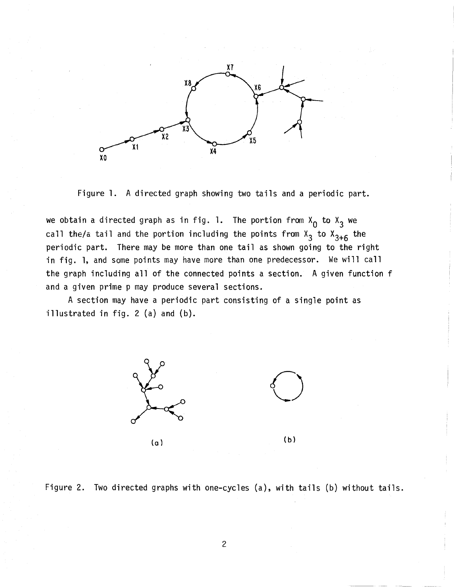

Figure 1. A directed graph showing two tails and a periodic part.

we obtain a directed graph as in fig. 1. The portion from  $X_0$  to  $X_3$  we call the/a tail and the portion including the points from  $X^3_3$  to  $X^3_{3+\delta}$  the periodic part. There may be more than one tail as shown going to the right in fig. 1, and some points may have more than one predecessor. We will call the graph including all of the connected points a section. A given function f and a given prime p may produce several sections.

A section may have a periodic part consisting of a single point as illustrated in fig. 2 (a) and (b).





(b)

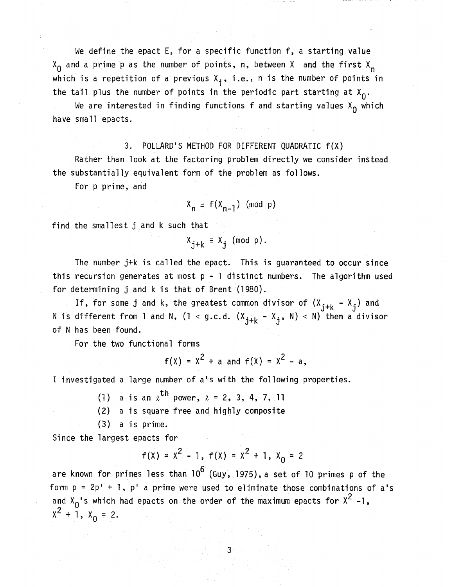We define the epact E, for a specific function f, a starting value  $x_0$  and a prime p as the number of points, n, between X and the first  $x_n$ which is a repetition of a previous  $X_i$ , i.e., n is the number of points in the tail plus the number of points in the periodic part starting at  $X_{\Omega}$ .

We are interested in finding functions f and starting values  $X_{0}$  which have small epacts.

#### 3. POLLARDIS METHOD FOR DIFFERENT QUADRATIC f(X)

Rather than look at the factoring problem directly we consider instead the substantially equivalent form of the problem as follows.

For p prime, and

$$
X_n \equiv f(X_{n-1}) \pmod{p}
$$

find the smallest  $j$  and  $k$  such that

$$
x_{j+k} \equiv x_j \pmod{p}.
$$

The number j+k is called the epact. This is guaranteed to occur since this recursion generates at most p - 1 distinct numbers. The algorithm used for determining j and k is that of Brent (1980).

If, for some j and k, the greatest common divisor of  $(X_{j+k} - X_j)$  and N is different from 1 and N, (1 < g.c.d.  $(X_{j+k} - X_j, N)$  < N) then a divisor of N has been found.

For the two functional forms

$$
f(x) = x2 + a
$$
 and  $f(x) = x2 - a$ ,

I investigated a large number of a's with the following properties.

- (1) a is an  $x^{th}$  power,  $x = 2$ , 3, 4, 7, 11
- (2) a is square free and highly composite
- (3) a is prime.

Since the largest epacts for

$$
f(x) = x2 - 1, f(x) = x2 + 1, x0 = 2
$$

are known for primes less than  $10^6$  (Guy, 1975), a set of 10 primes p of the form  $p = 2p' + 1$ ,  $p'$  a prime were used to eliminate those combinations of a's and  $X_0$ 's which had epacts on the order of the maximum epacts for  $X^2 - 1$ ,  $X^2 + 1$ ,  $X_0 = 2$ .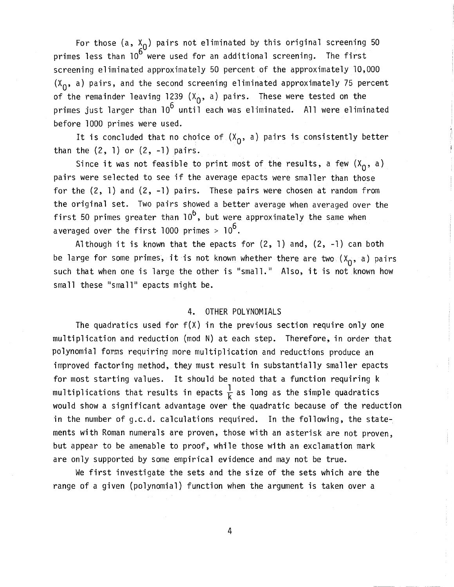For those (a,  $X_0$ ) pairs not eliminated by this original screening 50 primes less than  $10^{6}$  were used for an additional screening. The first screening eliminated approximately 50 percent of the approximately 10,000  $(X<sub>0</sub>, a)$  pairs, and the second screening eliminated approximately 75 percent of the remainder leaving 1239 ( $X_0$ , a) pairs. These were tested on the primes just larger than  $10^6$  until each was eliminated. All were eliminated before 1000 primes were used.

It is concluded that no choice of  $(X_0, a)$  pairs is consistently better than the  $(2, 1)$  or  $(2, -1)$  pairs.

Since it was not feasible to print most of the results, a few  $(X_0, a)$ pairs were selected to see if the average epacts were smaller than those for the (2, 1) and (2, -1) pairs. These pairs were chosen at random from the original set. Two pairs showed a better average when averaged over the first 50 primes greater than  $10^6$ , but were approximately the same when averaged over the first 1000 primes >  $10^6$ .

Although it is known that the epacts for (2, 1) and, (2, -1) can both be large for some primes, it is not known whether there are two  $(X_{\hat{O}}, a)$  pairs such that when one is large the other is "small." Also, it is not known how small these "small" epacts might be.

#### 4. OTHER POLYNOMIALS

The quadratics used for  $f(X)$  in the previous section require only one multiplication and reduction (mod N) at each step. Therefore, in order that polynomial forms requiring more multiplication and reductions produce an improved factoring method, they must result in substantially smaller epacts for most starting values. It should be noted that a function requiring k multiplications that results in epacts  $\frac{1}{k}$  as long as the simple quadratics would show a significant advantage over the quadratic because of the reduction in the number of g.c.d. calculations required. In the following, the statements with Roman numerals are proven, those with an asterisk are not proven, but appear to be amenable to proof, while those with an exclamation mark are only supported by some empirical evidence and may not be true.

We first investigate the sets and the size of the sets which are the range of a given (polynomial) function when the argument is taken over a

4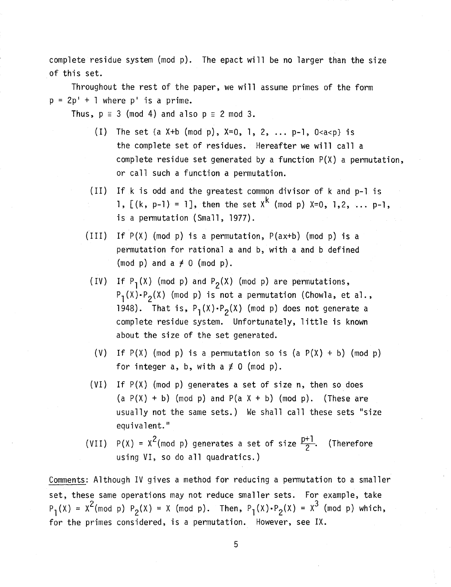complete residue system (mod p). The epact will be no larger than the size of this set.

Throughout the rest of the paper, we will assume primes of the form  $p = 2p' + 1$  where  $p'$  is a prime.

Thus,  $p \equiv 3 \pmod{4}$  and also  $p \equiv 2 \pmod{3}$ .

- (I) The set {a X+b (mod p), X=0, 1, 2, ... p-1, 0<a<p} is the complete set of residues. Hereafter we will call a complete residue set generated by a function  $P(X)$  a permutation, or call such a function a permutation.
- (II) If k is odd and the greatest common divisor of k and p-l is 1,  $[(k, p-1) = 1]$ , then the set  $X^{k}$  (mod p)  $X=0, 1, 2, ... p-1$ , is a permutation (Small, 1977).
- (III) If P(X) (mod p) is a permutation, P(ax+b) (mod p) is a permutation for rational a and b, with a and b defined (mod p) and a  $\neq$  0 (mod p).
- (IV) If  $P_1(X)$  (mod p) and  $P_2(X)$  (mod p) are permutations,  $P_1(X) \cdot P_2(X)$  (mod p) is not a permutation (Chowla, et al., 1948). That is,  $P_1(X) \cdot P_2(X)$  (mod p) does not generate a complete residue system. Unfortunately, little is known about the size of the set generated.
- (V) If  $P(X)$  (mod p) is a permutation so is (a  $P(X) + b$ ) (mod p) for integer a, b, with  $a \neq 0$  (mod p).
- (VI) If P(X) (mod p) generates a set of size n, then so does  $(a P(X) + b)$  (mod p) and  $P(a X + b)$  (mod p). (These are usually not the same sets.) We shall call these sets "size equivalent."
- (VII) P(X) =  $X^2$ (mod p) generates a set of size  $\frac{p+1}{2}$ . (Therefore using VI, so do all quadratics.)

Comments: Although IV gives a method for reducing a permutation to a smaller set, these same operations may not reduce smaller sets. For example, take  $P_1(X) = X^2(\text{mod } p)$   $P_2(X) = X(\text{mod } p)$ . Then,  $P_1(X) \cdot P_2(X) = X^3(\text{mod } p)$  which, for the primes considered, is a permutation. However, see IX.

5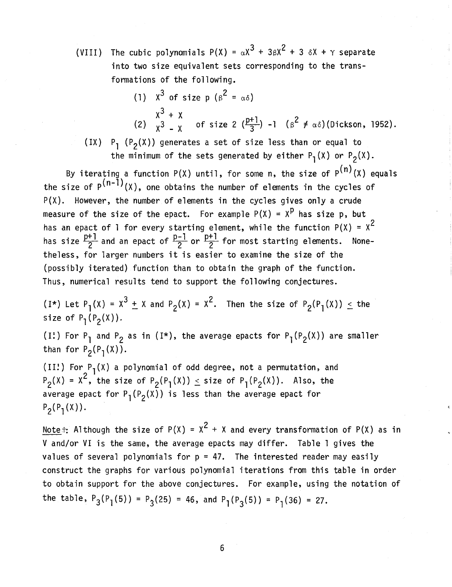(VIII) The cubic polynomials  $P(X) = \alpha X^3 + 3\beta X^2 + 3\delta X + \gamma$  separate into two size equivalent sets corresponding to the transformations of the following.

(1) 
$$
X^3
$$
 of size  $p$  ( $β^2 = αδ$ )  
\n $X^3 + X$   
\n(2)  $X^3 - X$  of size 2 ( $\frac{p+1}{3}$ ) -1 ( $β^2 \ne αδ$ )(Dickson, 1952).  
\n(IX)  $P_1$  ( $P_2(X)$ ) generates a set of size less than or equal to

the minimum of the sets generated by either  $P_1(X)$  or  $P_2(X)$ .

By iterating a function P(X) until, for some n, the size of  $p^{(n)}(x)$  equals the size of  $P^{(n-1)}(X)$ , one obtains the number of elements in the cycles of P(X). However, the number of elements in the cycles gives only a crude measure of the size of the epact. For example  $P(X) = X^p$  has size p, but has an epact of 1 for every starting element, while the function  $P(X) = X^2$ has size  $\frac{p+1}{2}$  and an epact of  $\frac{p-1}{2}$  or  $\frac{p+1}{2}$  for most starting elements. Nonetheless, for larger numbers it is easier to examine the size of the (possibly iterated) function than to obtain the graph of the function. Thus, numerical results tend to support the following conjectures.

(I\*) Let  $P_1(X) = X^3 + X$  and  $P_2(X) = X^2$ . Then the size of  $P_2(P_1(X)) \leq$  the size of  $P_1(P_2(X))$ .

(I!) For  $P_1$  and  $P_2$  as in (I\*), the average epacts for  $P_{\overline{1}}(P_2(X))$  are smaller than for  $P_2(P_1(X))$ .

(II!) For  $P_1(X)$  a polynomial of odd degree, not a permutation, and  $P_2(X) = X^2$ , the size of  $P_2(P_1(X)) \le$  size of  $P_1(P_2(X))$ . Also, the average epact for  $P_1(P_2(X))$  is less than the average epact for P<sub>2</sub>(P<sub>1</sub>(X)).

Note : Although the size of  $P(X) = X^2 + X$  and every transformation of  $P(X)$  as in V and/or VI is the same, the average epacts may differ. Table 1 gives the values of several polynomials for  $p = 47$ . The interested reader may easily construct the graphs for various polynomial iterations from this table in order to obtain support for the above conjectures. For example, using the notation of the table,  $P_3(P_1(5)) = P_3(25) = 46$ , and  $P_1(P_3(5)) = P_1(36) = 27$ .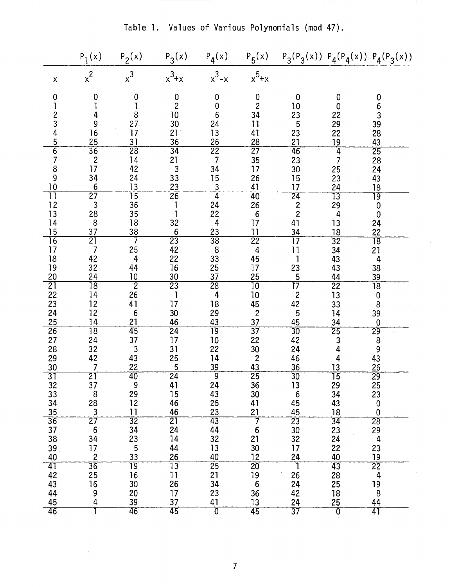Table 1. Values of Various Polynomials (mod 47}.

|                                                                          | $P_1(x)$                                | $P_2(x)$              | $P_3(x)$                                                | $P_4(x)$                               | $P_5(x)$                                      |                       | $P_3(P_3(x)) P_4(P_4(x)) P_4(P_3(x))$ |                                                          |
|--------------------------------------------------------------------------|-----------------------------------------|-----------------------|---------------------------------------------------------|----------------------------------------|-----------------------------------------------|-----------------------|---------------------------------------|----------------------------------------------------------|
| $\pmb{\mathsf{X}}$                                                       | $x^2$                                   | $x^3$                 | $x^3+x$                                                 | $x^3$ -x                               | $x^5+x$                                       |                       |                                       |                                                          |
| $\mathbf 0$                                                              | $\pmb{0}$                               | $\pmb{0}$             | $\begin{array}{c} 0 \\ 2 \end{array}$                   | $\pmb{0}$                              | $\frac{0}{2}$                                 | 0                     | $\mathbf 0$                           | $\boldsymbol{0}$                                         |
|                                                                          | 4                                       | Ī                     | 10                                                      | $\mathbf 0$<br>$6\,$                   | 34                                            | 10<br>23              | $\mathbf 0$<br>22                     | 6                                                        |
| $\begin{array}{c} 2 \\ 3 \\ 4 \end{array}$                               | 9                                       | $\frac{8}{27}$        | 30                                                      | 24                                     | 11                                            | $\overline{5}$        | 29                                    |                                                          |
|                                                                          | 16                                      | 17                    | 21                                                      | 13                                     | 41                                            | 23                    | 22                                    | $39$<br>$28$                                             |
| $rac{5}{6}$<br>$789$                                                     | $\frac{25}{36}$                         | $\frac{31}{28}$       | $\frac{36}{5}$                                          | $\frac{26}{22}$                        | $\frac{28}{27}$                               | $\overline{21}$       | 19                                    | $\frac{43}{25}$                                          |
|                                                                          | $\overline{c}$                          |                       | $\overline{34}$                                         |                                        |                                               | 46                    | $\overline{4}$<br>$\overline{7}$      |                                                          |
|                                                                          | 17                                      | 14<br>42              | 21<br>$\mathfrak{Z}$                                    | $\overline{7}$<br>34                   | 35<br>17                                      | 23<br>30 <sub>2</sub> | 25                                    | 28<br>24                                                 |
|                                                                          | 34                                      | 24                    | 33                                                      |                                        | 26                                            | 15                    | 23                                    | 43                                                       |
| $\frac{10}{11}$                                                          | $\boldsymbol{6}$                        | $\frac{13}{2}$        | $\frac{23}{26}$                                         | $\frac{15}{3}$                         | 41                                            | 17                    | $\frac{24}{13}$                       | $\frac{18}{19}$                                          |
|                                                                          | $\overline{27}$                         | $\overline{15}$       |                                                         | $\overline{4}$                         | 40                                            | $\overline{24}$       |                                       |                                                          |
| $\begin{array}{c} 12 \\ 13 \end{array}$                                  | 3                                       | 36                    |                                                         | 24<br>22                               | 26<br>$\boldsymbol{6}$                        | $\frac{2}{2}$         | 29<br>4                               | $\pmb{0}$                                                |
|                                                                          | $\frac{28}{8}$                          | 35<br>18              | 32                                                      | 4                                      | 17                                            | 41                    | 13                                    | $\boldsymbol{0}$<br>24                                   |
|                                                                          |                                         | 38                    | $6\phantom{a}$                                          |                                        |                                               | 34                    |                                       |                                                          |
| $\frac{14}{16}$<br>$\frac{15}{16}$<br>$\frac{17}{18}$<br>$\frac{18}{19}$ | $\frac{37}{21}$                         |                       | $\overline{23}$                                         | $\frac{23}{38}$                        | $\frac{11}{22}$                               | $\overline{17}$       | $\frac{18}{32}$                       | $\frac{22}{18}$                                          |
|                                                                          | 7                                       | 25                    | 42<br>22                                                | $\begin{array}{c} 8 \\ 33 \end{array}$ | 4                                             | $\overline{11}$       | 34                                    | 21                                                       |
|                                                                          | $\begin{array}{c} 42 \\ 32 \end{array}$ | 4<br>44               | 16                                                      | 25                                     | 45<br>17                                      | $\mathbf{1}$<br>23    | 43<br>43                              | 4<br>38                                                  |
|                                                                          |                                         | 10                    |                                                         | $\frac{37}{2}$                         | $\frac{25}{5}$                                |                       |                                       |                                                          |
| $\frac{20}{21}$                                                          | $\frac{24}{18}$                         | $\overline{2}$        | $\frac{30}{23}$                                         | $\overline{28}$                        | $\overline{10}$                               | $\frac{5}{17}$        | $\frac{44}{22}$                       | $\frac{39}{18}$                                          |
|                                                                          | 14                                      | 26                    |                                                         | 4                                      | 10 <sub>1</sub>                               | $\overline{c}$        | 13                                    | $\begin{array}{c} 0 \\ 8 \\ 39 \end{array}$              |
|                                                                          | $\begin{array}{c} 12 \\ 12 \end{array}$ | 41                    | 17                                                      | 18                                     | $\frac{45}{2}$                                | $\frac{42}{5}$        | 33                                    |                                                          |
|                                                                          | 14                                      | $6\phantom{1}6$<br>21 | 30<br>46                                                | 29<br>43                               |                                               | 45                    | 14<br>34                              | $\bf{0}$                                                 |
| 22<br>23<br>24<br>25<br>25<br>26                                         | $\overline{18}$                         | 45                    | $\overline{24}$                                         | $\overline{19}$                        | $\frac{37}{37}$                               | $\overline{30}$       | 25                                    |                                                          |
|                                                                          |                                         | 37                    | 17                                                      | 10                                     | 22                                            | 42                    | 3                                     | $\begin{array}{c}\n 29 \\  8 \\  9 \\  43\n \end{array}$ |
| $\frac{27}{28}$<br>28                                                    | 24<br>32                                | 3                     | 31                                                      | 22                                     | 30                                            | 24                    | 4                                     |                                                          |
|                                                                          | 42                                      | 43                    | $\begin{array}{c}\n 25 \\  \underline{5}\n \end{array}$ | 14                                     | $\overline{c}$                                | 46                    | 4                                     |                                                          |
| $\frac{30}{31}$                                                          | $\overline{21}$                         | $\frac{22}{40}$       | $\overline{24}$                                         | $\frac{39}{9}$                         | $\frac{43}{25}$                               | $\frac{36}{30}$       | <u>13 </u><br>$\overline{15}$         | $\frac{26}{29}$                                          |
| 32                                                                       | 37                                      | 9                     | 41                                                      | 24                                     | 36                                            | 13                    | 29                                    | 25                                                       |
| 33                                                                       | 8                                       | 29                    | 15                                                      | 43                                     | 30                                            | 6                     | 34                                    | 23                                                       |
| 34                                                                       | $\frac{28}{3}$                          | 12                    | 46                                                      | 25                                     | 41                                            | 45                    | 43                                    | $\begin{matrix} 0 \\ 0 \end{matrix}$                     |
| $\frac{35}{36}$                                                          |                                         | 11                    | 46                                                      | 23                                     | 21                                            | 45                    | 18                                    |                                                          |
| 37                                                                       | $\overline{27}$                         | $\overline{32}$<br>34 | $\overline{21}$<br>24                                   | $\overline{43}$<br>44                  | 7<br>6                                        | $\overline{23}$       | $\overline{34}$                       | $\overline{28}$                                          |
| 38                                                                       | $\begin{array}{c} 6 \\ 34 \end{array}$  | 23                    | 14                                                      | 32                                     |                                               | 30<br>32<br>17        | 23<br>24                              | $\frac{29}{4}$<br>23                                     |
| 39                                                                       |                                         | $\frac{5}{33}$        | 44                                                      | 13                                     | $\begin{array}{c} 2\bar{1} \\ 30 \end{array}$ |                       | 22                                    |                                                          |
| 40                                                                       | $\frac{17}{2}$                          |                       | 26                                                      | 40                                     | 12                                            | 24                    | 40                                    | $\frac{19}{1}$                                           |
| 41                                                                       | $\overline{36}$                         | 19                    | $\overline{13}$                                         | $\overline{25}$                        | $\overline{20}$                               | 1                     | 43                                    | $\overline{22}$                                          |
| 42<br>43                                                                 | 25<br>16                                | 16<br>30              | $\begin{array}{c} 1 \end{array}$<br>26                  | 21<br>34                               | $\overline{19}$<br>$\boldsymbol{6}$           | 26<br>24              | 28<br>25                              | $\frac{1}{4}$<br>$\frac{19}{8}$                          |
| 44                                                                       |                                         | 20                    | 17                                                      | 23                                     | 36                                            | 42                    | 18                                    |                                                          |
|                                                                          | $\frac{9}{4}$                           | 39                    | 37                                                      | 41                                     | 13                                            |                       |                                       | 44                                                       |
| $\frac{45}{46}$                                                          |                                         | 46                    | 45                                                      | $\overline{\mathfrak{o}}$              | $\overline{45}$                               | $\frac{24}{37}$       | $\frac{25}{0}$                        | 41                                                       |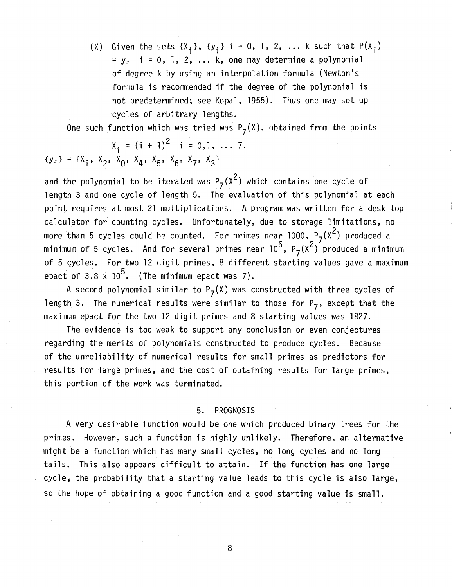(X) Given the sets  $\{X_i\}$ ,  $\{y_i\}$  i = 0, 1, 2, ... k such that  $P(X_i)$  $= y_i$  i = 0, 1, 2, ... k, one may determine a polynomial of degree k by using an interpolation formula (Newton's formula is recommended if the degree of the polynomial is not predetermined; see Kopal, 1955). Thus one may set up cycles of arbitrary lengths.

One such function which was tried was  $\mathsf{P}_\mathcal{T}(\mathsf{X})$ , obtained from the points

 $X_i = (i + 1)^2$  i = 0,1, ... 7,  $\{y_i\} = \{X_i, X_2, X_0, X_4, X_5, X_6, X_7, X_3\}$ 

and the polynomial to be iterated was  $\mathtt{P}_7(\mathtt{X}^2)$  which contains one cycle of length 3 and one cycle of length 5. The evaluation of this polynomial at each point requires at most <sup>21</sup> multiplications. A program was written for a desk top calculator for counting cycles. Unfortunately, due to storage limitations, no more than 5 cycles could be counted. For primes near 1000,  $P_7(x^2)$  produced a minimum of 5 cycles. And for several primes near  $10^6$ ,  $P_7(x^2)'$ produced a minimum of 5 cycles. For two 12 digit primes, 8 different starting values gave a maximum epact of 3.8 x  $10^5$ . (The minimum epact was 7).

A second polynomial similar to  $P_{\text{\sf Z}}(\text{\sf X})$  was constructed with three cycles of length 3. The numerical results were similar to those for  $P_{\text{$\cal{T}$}}}$ , except that the maximum epact for the two 12 digit primes and 8 starting values was 1827.

The evidence is too weak to support any conclusion or even conjectures regarding the merits of polynomials constructed to produce cycles. Because of the unreliability of numerical results for small primes as predictors for results for large primes, and the cost of obtaining results for large primes, this portion of the work was terminated.

#### 5. PROGNOSIS

A very desirable function would be one which produced binary trees for the primes. However, such a function is highly unlikely. Therefore, an alternative might be a function which has many small cycles, no long cycles and no long tails. This also appears difficult to attain. If the function has one large cycle, the probability that a starting value leads to this cycle is also large, so the hope of obtaining a good function and a good starting value is small.

8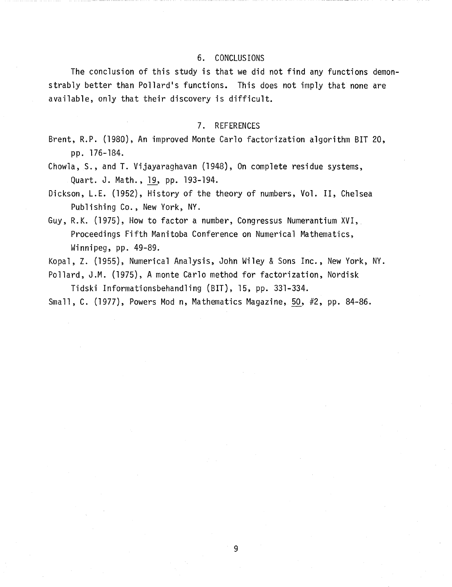#### 6. CONCLUSIONS

The conclusion of this study is that we did not find any functions demonstrably better than Pollard's functions. This does not imply that none are available, only that their discovery is difficult.

#### 7. REFERENCES

Brent, R.P. (1980), An improved Monte Carlo factorization algorithm BIT 20, pp. 176-184.

Chowla, S., and T. Vijayaraghavan (1948), On complete residue systems, Quart. J. Math., 19, pp. 193-194.

Dickson, L.E. (1952), History of the theory of numbers, Vol. II, Chelsea Publishing Co., New York, NY.

Guy, R.K. (1975), How to factor a number, Congressus Numerantium XVI, Proceedings Fifth Manitoba Conference on Numerical Mathematics, Winnipeg, pp. 49-89.

Kopal, Z. (1955), Numerical Analysis, John Wiley & Sons Inc., New York, NY. Pollard, J.M. (1975), Amonte Carlo method for factorization, Nordisk

Tidski Informationsbehandling (BIT), 15, pp. 331-334.

Small, C. (1977), Powers Mod n, Mathematics Magazine, 50, #2, pp. 84-86.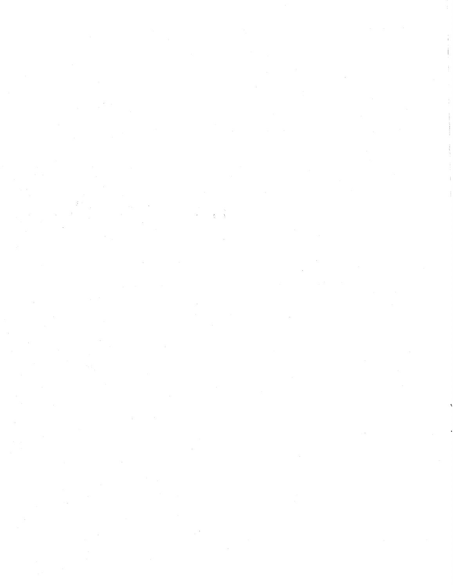$\sim$  $\label{eq:2} \frac{1}{\sqrt{2}}\sum_{i=1}^{N} \frac{1}{\sqrt{N_i}}$  $\frac{1}{\sigma}$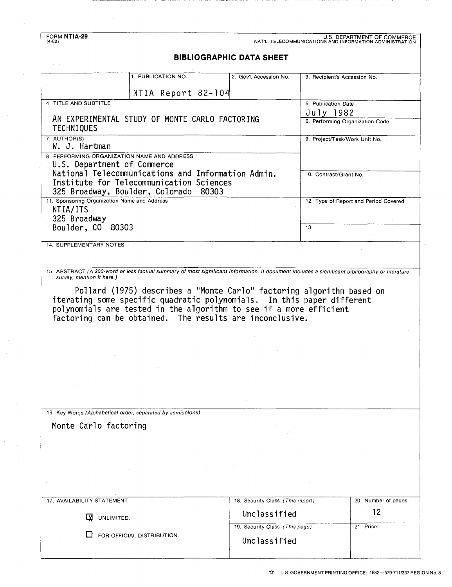|               | FORM NTIA-29 |
|---------------|--------------|
| $\lambda$ and |              |

 $\sim$ 

### **BIBLIOGRAPHIC DATA SHEET**

| 1. PUBLICATION NO.                                                                        | 2. Gov't Accession No.            | 3. Recipient's Accession No.          |
|-------------------------------------------------------------------------------------------|-----------------------------------|---------------------------------------|
| NTIA Report 82-104                                                                        |                                   |                                       |
| 4. TITLE AND SUBTITLE                                                                     |                                   | 5. Publication Date                   |
| AN EXPERIMENTAL STUDY OF MONTE CARLO FACTORING                                            |                                   | July 1982                             |
| <b>TECHNIQUES</b>                                                                         |                                   | 6. Performing Organization Code       |
| 7. AUTHOR(S)<br>W. J. Hartman                                                             |                                   | 9. Project/Task/Work Unit No.         |
| 8. PERFORMING ORGANIZATION NAME AND ADDRESS<br>U.S. Department of Commerce                |                                   |                                       |
| National Telecommunications and Information Admin.                                        |                                   | 10. Contract/Grant No.                |
| Institute for Telecommunication Sciences                                                  |                                   |                                       |
| 325 Broadway, Boulder, Colorado 80303<br>11. Sponsoring Organization Name and Address     |                                   | 12. Type of Report and Period Covered |
| NTIA/ITS                                                                                  |                                   |                                       |
| 325 Broadway                                                                              |                                   | 13.                                   |
| Boulder, CO 80303                                                                         |                                   |                                       |
| 14. SUPPLEMENTARY NOTES                                                                   |                                   |                                       |
|                                                                                           |                                   |                                       |
| factoring can be obtained. The results are inconclusive.                                  |                                   |                                       |
|                                                                                           |                                   |                                       |
|                                                                                           |                                   |                                       |
|                                                                                           |                                   |                                       |
|                                                                                           |                                   |                                       |
|                                                                                           |                                   |                                       |
|                                                                                           |                                   |                                       |
|                                                                                           |                                   |                                       |
| Monte Carlo factoring                                                                     |                                   |                                       |
|                                                                                           |                                   |                                       |
|                                                                                           |                                   |                                       |
|                                                                                           |                                   |                                       |
|                                                                                           |                                   |                                       |
|                                                                                           |                                   |                                       |
|                                                                                           | 18. Security Class. (This report) | 20. Number of pages                   |
| UNLIMITED.<br>LУ                                                                          | Unclassified                      | 12                                    |
|                                                                                           | 19. Security Class. (This page)   | 21. Price:                            |
| FOR OFFICIAL DISTRIBUTION.                                                                | Unclassified                      |                                       |
| 16. Key Words (Alphabetical order, separated by semicolons)<br>17. AVAILABILITY STATEMENT |                                   |                                       |